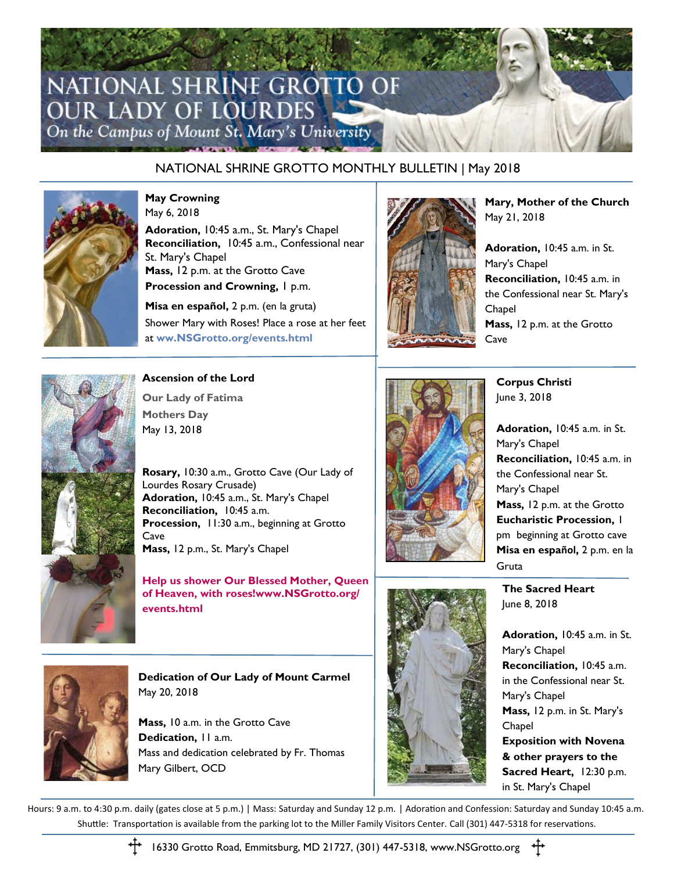

## NATIONAL SHRINE GROTTO MONTHLY BULLETIN | May 2018



**May Crowning** May 6, 2018

**Adoration,** 10:45 a.m., St. Mary's Chapel **Reconciliation,** 10:45 a.m., Confessional near St. Mary's Chapel **Mass,** 12 p.m. at the Grotto Cave **Procession and Crowning, 1 p.m.** 

**Misa en español,** 2 p.m. (en la gruta) Shower Mary with Roses! Place a rose at her feet at **[ww.NSGrotto.org/events.html](http://www.NSGrotto.org/events.html)**



**Mary, Mother of the Church** May 21, 2018

**Adoration,** 10:45 a.m. in St. Mary's Chapel **Reconciliation,** 10:45 a.m. in the Confessional near St. Mary's Chapel **Mass,** 12 p.m. at the Grotto Cave



**Ascension of the Lord**

**Our Lady of Fatima Mothers Day**  May 13, 2018

**Rosary,** 10:30 a.m., Grotto Cave (Our Lady of Lourdes Rosary Crusade) **Adoration,** 10:45 a.m., St. Mary's Chapel **Reconciliation,** 10:45 a.m. **Procession,** 11:30 a.m., beginning at Grotto Cave **Mass,** 12 p.m., St. Mary's Chapel

**Help us shower Our Blessed Mother, Queen of Heaven, with roses!www.NSGrotto.org/ events.html**



**Corpus Christi** June 3, 2018

**Adoration,** 10:45 a.m. in St. Mary's Chapel **Reconciliation,** 10:45 a.m. in the Confessional near St. Mary's Chapel **Mass,** 12 p.m. at the Grotto **Eucharistic Procession,** 1 pm beginning at Grotto cave **Misa en español,** 2 p.m. en la Gruta

**The Sacred Heart** June 8, 2018



**Dedication of Our Lady of Mount Carmel** May 20, 2018

**Mass,** 10 a.m. in the Grotto Cave **Dedication,** 11 a.m. Mass and dedication celebrated by Fr. Thomas Mary Gilbert, OCD



**Adoration,** 10:45 a.m. in St. Mary's Chapel **Reconciliation,** 10:45 a.m. in the Confessional near St. Mary's Chapel **Mass,** 12 p.m. in St. Mary's Chapel **Exposition with Novena & other prayers to the Sacred Heart,** 12:30 p.m. in St. Mary's Chapel

Hours: 9 a.m. to 4:30 p.m. daily (gates close at 5 p.m.) | Mass: Saturday and Sunday 12 p.m. | Adoration and Confession: Saturday and Sunday 10:45 a.m. Shuttle: Transportation is available from the parking lot to the Miller Family Visitors Center. Call (301) 447-5318 for reservations.



16330 Grotto Road, Emmitsburg, MD 21727, (301) 447-5318, www.NSGrotto.org